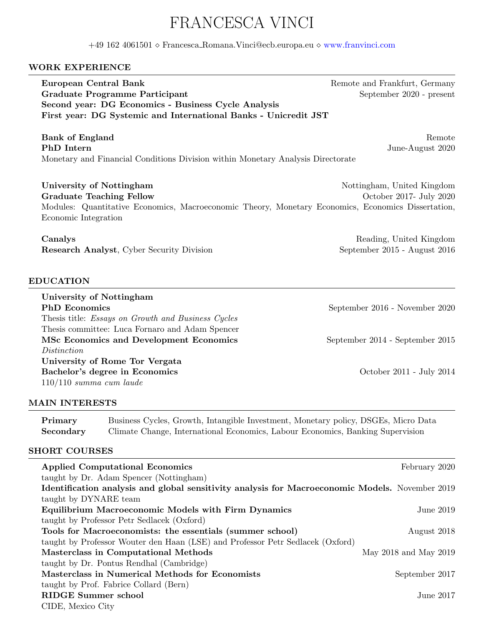# FRANCESCA VINCI

#### +49 162 4061501 ⋄ Francesca Romana.Vinci@ecb.europa.eu ⋄ [www.franvinci.com](https://www.franvinci.com/)

## WORK EXPERIENCE

**European Central Bank Remote and Frankfurt, Germany** Remote and Frankfurt, Germany Graduate Programme Participant September 2020 - present Second year: DG Economics - Business Cycle Analysis First year: DG Systemic and International Banks - Unicredit JST Bank of England Remote PhD Intern June-August 2020 Monetary and Financial Conditions Division within Monetary Analysis Directorate University of Nottingham Nottingham Nottingham, United Kingdom Graduate Teaching Fellow Corollace Teaching Fellow Corollace Services of the October 2017- July 2020 Modules: Quantitative Economics, Macroeconomic Theory, Monetary Economics, Economics Dissertation, Economic Integration Canalys Reading, United Kingdom Research Analyst, Cyber Security Division September 2015 - August 2016 EDUCATION University of Nottingham PhD Economics September 2016 - November 2020 Thesis title: Essays on Growth and Business Cycles

MSc Economics and Development Economics September 2014 - September 2015

Bachelor's degree in Economics October 2011 - July 2014

University of Rome Tor Vergata

Thesis committee: Luca Fornaro and Adam Spencer

110/110 summa cum laude

## MAIN INTERESTS

Distinction

Primary Business Cycles, Growth, Intangible Investment, Monetary policy, DSGEs, Micro Data Secondary Climate Change, International Economics, Labour Economics, Banking Supervision

## SHORT COURSES

| <b>Applied Computational Economics</b>                                                          | February 2020         |
|-------------------------------------------------------------------------------------------------|-----------------------|
| taught by Dr. Adam Spencer (Nottingham)                                                         |                       |
| Identification analysis and global sensitivity analysis for Macroeconomic Models. November 2019 |                       |
| taught by DYNARE team                                                                           |                       |
| <b>Equilibrium Macroeconomic Models with Firm Dynamics</b>                                      | June 2019             |
| taught by Professor Petr Sedlacek (Oxford)                                                      |                       |
| Tools for Macroeconomists: the essentials (summer school)                                       | August 2018           |
| taught by Professor Wouter den Haan (LSE) and Professor Petr Sedlacek (Oxford)                  |                       |
| <b>Masterclass in Computational Methods</b>                                                     | May 2018 and May 2019 |
| taught by Dr. Pontus Rendhal (Cambridge)                                                        |                       |
| Masterclass in Numerical Methods for Economists                                                 | September 2017        |
| taught by Prof. Fabrice Collard (Bern)                                                          |                       |
| <b>RIDGE Summer school</b>                                                                      | June 2017.            |
| CIDE, Mexico City                                                                               |                       |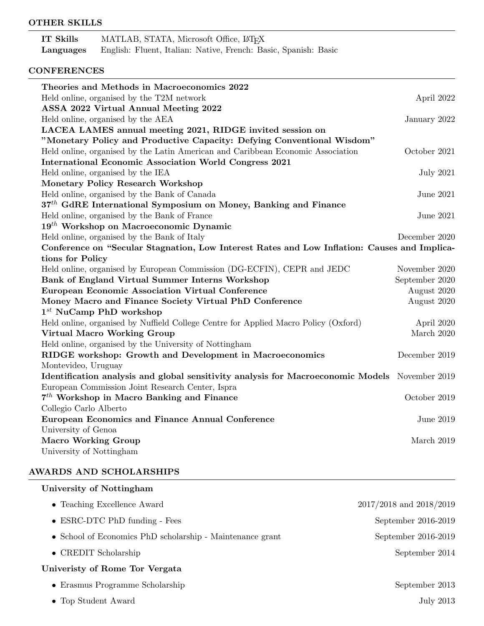# OTHER SKILLS

| IT Skills | MATLAB, STATA, Microsoft Office, LATFX                          |
|-----------|-----------------------------------------------------------------|
| Languages | English: Fluent, Italian: Native, French: Basic, Spanish: Basic |

## **CONFERENCES**

| Theories and Methods in Macroeconomics 2022                                                    |                  |  |
|------------------------------------------------------------------------------------------------|------------------|--|
| Held online, organised by the T2M network                                                      | April 2022       |  |
| ASSA 2022 Virtual Annual Meeting 2022                                                          |                  |  |
| Held online, organised by the AEA                                                              | January 2022     |  |
| LACEA LAMES annual meeting 2021, RIDGE invited session on                                      |                  |  |
| "Monetary Policy and Productive Capacity: Defying Conventional Wisdom"                         |                  |  |
| Held online, organised by the Latin American and Caribbean Economic Association                | October 2021     |  |
| International Economic Association World Congress 2021                                         |                  |  |
| Held online, organised by the IEA                                                              | <b>July 2021</b> |  |
| Monetary Policy Research Workshop                                                              |                  |  |
| Held online, organised by the Bank of Canada                                                   | June 2021        |  |
| $37th$ GdRE International Symposium on Money, Banking and Finance                              |                  |  |
| Held online, organised by the Bank of France                                                   | June 2021        |  |
| $19^{th}$ Workshop on Macroeconomic Dynamic                                                    |                  |  |
| Held online, organised by the Bank of Italy<br>December 2020                                   |                  |  |
| Conference on "Secular Stagnation, Low Interest Rates and Low Inflation: Causes and Implica-   |                  |  |
| tions for Policy                                                                               |                  |  |
| Held online, organised by European Commission (DG-ECFIN), CEPR and JEDC<br>November 2020       |                  |  |
| Bank of England Virtual Summer Interns Workshop<br>September 2020                              |                  |  |
| European Economic Association Virtual Conference                                               | August 2020      |  |
| Money Macro and Finance Society Virtual PhD Conference                                         | August 2020      |  |
| $1^{st}$ NuCamp PhD workshop                                                                   |                  |  |
| Held online, organised by Nuffield College Centre for Applied Macro Policy (Oxford)            | April 2020       |  |
| <b>Virtual Macro Working Group</b>                                                             | March 2020       |  |
| Held online, organised by the University of Nottingham                                         |                  |  |
| December 2019<br>RIDGE workshop: Growth and Development in Macroeconomics                      |                  |  |
| Montevideo, Uruguay                                                                            |                  |  |
| Identification analysis and global sensitivity analysis for Macroeconomic Models November 2019 |                  |  |
| European Commission Joint Research Center, Ispra                                               |                  |  |
| $7^{th}$ Workshop in Macro Banking and Finance                                                 | October 2019     |  |
| Collegio Carlo Alberto                                                                         |                  |  |
| <b>European Economics and Finance Annual Conference</b>                                        | June 2019        |  |
| University of Genoa                                                                            |                  |  |
| <b>Macro Working Group</b>                                                                     | March 2019       |  |
| University of Nottingham                                                                       |                  |  |

## AWARDS AND SCHOLARSHIPS

University of Nottingham

| • Teaching Excellence Award                               | $2017/2018$ and $2018/2019$ |
|-----------------------------------------------------------|-----------------------------|
| $\bullet$ ESRC-DTC PhD funding - Fees                     | September 2016-2019         |
| • School of Economics PhD scholarship - Maintenance grant | September 2016-2019         |
| $\bullet$ CREDIT Scholarship                              | September 2014              |
| Univeristy of Rome Tor Vergata                            |                             |
| $\bullet$ Erasmus Programme Scholarship                   | September 2013              |
| • Top Student Award                                       | <b>July 2013</b>            |
|                                                           |                             |